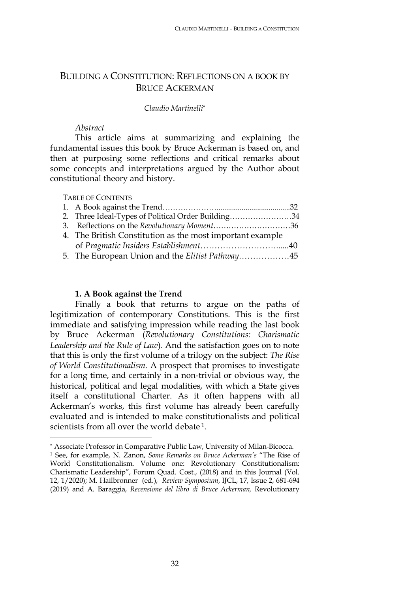# BUILDING A CONSTITUTION: REFLECTIONS ON A BOOK BY BRUCE ACKERMAN

#### *Claudio Martinelli*\*

### *Abstract*

This article aims at summarizing and explaining the fundamental issues this book by Bruce Ackerman is based on, and then at purposing some reflections and critical remarks about some concepts and interpretations argued by the Author about constitutional theory and history.

#### TABLE OF CONTENTS

-

| 2. Three Ideal-Types of Political Order Building34        |  |
|-----------------------------------------------------------|--|
| 3. Reflections on the Revolutionary Moment36              |  |
| 4. The British Constitution as the most important example |  |
|                                                           |  |
|                                                           |  |

#### **1. A Book against the Trend**

Finally a book that returns to argue on the paths of legitimization of contemporary Constitutions. This is the first immediate and satisfying impression while reading the last book by Bruce Ackerman (*Revolutionary Constitutions: Charismatic Leadership and the Rule of Law*). And the satisfaction goes on to note that this is only the first volume of a trilogy on the subject: *The Rise of World Constitutionalism*. A prospect that promises to investigate for a long time, and certainly in a non-trivial or obvious way, the historical, political and legal modalities, with which a State gives itself a constitutional Charter. As it often happens with all Ackerman's works, this first volume has already been carefully evaluated and is intended to make constitutionalists and political scientists from all over the world debate<sup>1</sup>.

<sup>\*</sup> Associate Professor in Comparative Public Law, University of Milan-Bicocca.

<sup>1</sup> See, for example, N. Zanon, *Some Remarks on Bruce Ackerman's* "The Rise of World Constitutionalism. Volume one: Revolutionary Constitutionalism: Charismatic Leadership", Forum Quad. Cost., (2018) and in this Journal (Vol. 12, 1/2020); M. Hailbronner (ed.), *Review Symposium*, IJCL, 17, Issue 2, 681-694 (2019) and A. Baraggia, *Recensione del libro di Bruce Ackerman,* Revolutionary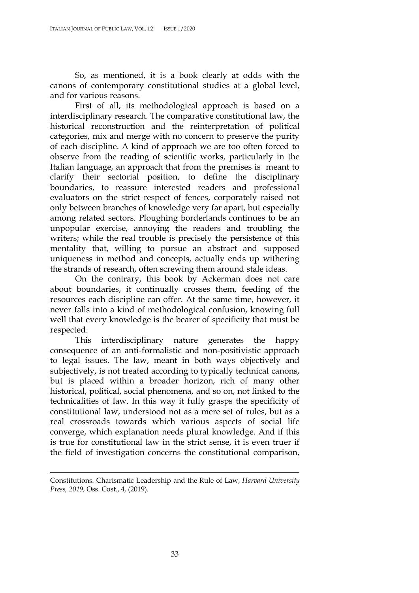So, as mentioned, it is a book clearly at odds with the canons of contemporary constitutional studies at a global level, and for various reasons.

First of all, its methodological approach is based on a interdisciplinary research. The comparative constitutional law, the historical reconstruction and the reinterpretation of political categories, mix and merge with no concern to preserve the purity of each discipline. A kind of approach we are too often forced to observe from the reading of scientific works, particularly in the Italian language, an approach that from the premises is meant to clarify their sectorial position, to define the disciplinary boundaries, to reassure interested readers and professional evaluators on the strict respect of fences, corporately raised not only between branches of knowledge very far apart, but especially among related sectors. Ploughing borderlands continues to be an unpopular exercise, annoying the readers and troubling the writers; while the real trouble is precisely the persistence of this mentality that, willing to pursue an abstract and supposed uniqueness in method and concepts, actually ends up withering the strands of research, often screwing them around stale ideas.

On the contrary, this book by Ackerman does not care about boundaries, it continually crosses them, feeding of the resources each discipline can offer. At the same time, however, it never falls into a kind of methodological confusion, knowing full well that every knowledge is the bearer of specificity that must be respected.

This interdisciplinary nature generates the happy consequence of an anti-formalistic and non-positivistic approach to legal issues. The law, meant in both ways objectively and subjectively, is not treated according to typically technical canons, but is placed within a broader horizon, rich of many other historical, political, social phenomena, and so on, not linked to the technicalities of law. In this way it fully grasps the specificity of constitutional law, understood not as a mere set of rules, but as a real crossroads towards which various aspects of social life converge, which explanation needs plural knowledge. And if this is true for constitutional law in the strict sense, it is even truer if the field of investigation concerns the constitutional comparison,

<u>.</u>

Constitutions. Charismatic Leadership and the Rule of Law, *Harvard University Press, 2019*, Oss. Cost., 4, (2019).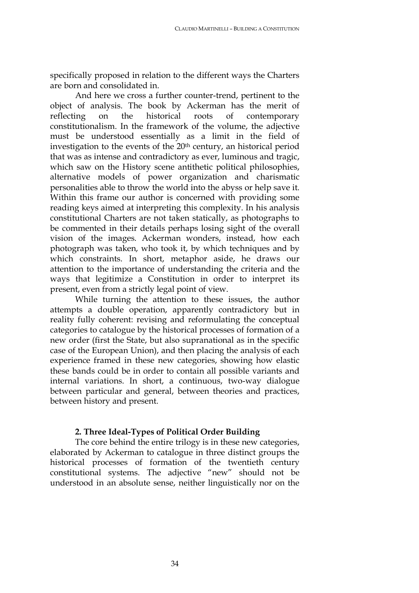specifically proposed in relation to the different ways the Charters are born and consolidated in.

And here we cross a further counter-trend, pertinent to the object of analysis. The book by Ackerman has the merit of reflecting on the historical roots of contemporary constitutionalism. In the framework of the volume, the adjective must be understood essentially as a limit in the field of investigation to the events of the 20<sup>th</sup> century, an historical period that was as intense and contradictory as ever, luminous and tragic, which saw on the History scene antithetic political philosophies, alternative models of power organization and charismatic personalities able to throw the world into the abyss or help save it. Within this frame our author is concerned with providing some reading keys aimed at interpreting this complexity. In his analysis constitutional Charters are not taken statically, as photographs to be commented in their details perhaps losing sight of the overall vision of the images. Ackerman wonders, instead, how each photograph was taken, who took it, by which techniques and by which constraints. In short, metaphor aside, he draws our attention to the importance of understanding the criteria and the ways that legitimize a Constitution in order to interpret its present, even from a strictly legal point of view.

While turning the attention to these issues, the author attempts a double operation, apparently contradictory but in reality fully coherent: revising and reformulating the conceptual categories to catalogue by the historical processes of formation of a new order (first the State, but also supranational as in the specific case of the European Union), and then placing the analysis of each experience framed in these new categories, showing how elastic these bands could be in order to contain all possible variants and internal variations. In short, a continuous, two-way dialogue between particular and general, between theories and practices, between history and present.

## **2. Three Ideal-Types of Political Order Building**

The core behind the entire trilogy is in these new categories, elaborated by Ackerman to catalogue in three distinct groups the historical processes of formation of the twentieth century constitutional systems. The adjective "new" should not be understood in an absolute sense, neither linguistically nor on the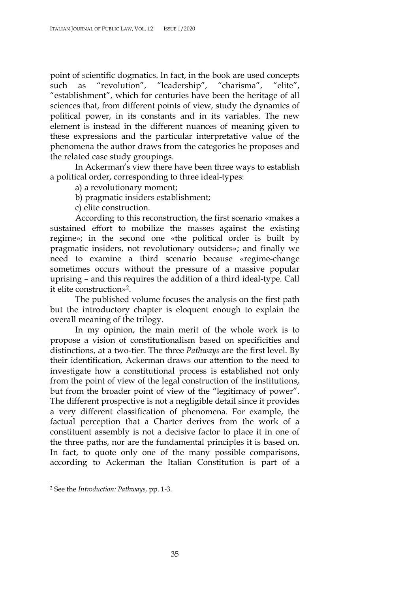point of scientific dogmatics. In fact, in the book are used concepts such as "revolution", "leadership", "charisma", "elite", "establishment", which for centuries have been the heritage of all sciences that, from different points of view, study the dynamics of political power, in its constants and in its variables. The new element is instead in the different nuances of meaning given to these expressions and the particular interpretative value of the phenomena the author draws from the categories he proposes and the related case study groupings.

In Ackerman's view there have been three ways to establish a political order, corresponding to three ideal-types:

a) a revolutionary moment;

b) pragmatic insiders establishment;

c) elite construction.

According to this reconstruction, the first scenario «makes a sustained effort to mobilize the masses against the existing regime»; in the second one «the political order is built by pragmatic insiders, not revolutionary outsiders»; and finally we need to examine a third scenario because «regime-change sometimes occurs without the pressure of a massive popular uprising – and this requires the addition of a third ideal-type. Call it elite construction»2.

The published volume focuses the analysis on the first path but the introductory chapter is eloquent enough to explain the overall meaning of the trilogy.

In my opinion, the main merit of the whole work is to propose a vision of constitutionalism based on specificities and distinctions, at a two-tier. The three *Pathways* are the first level. By their identification, Ackerman draws our attention to the need to investigate how a constitutional process is established not only from the point of view of the legal construction of the institutions, but from the broader point of view of the "legitimacy of power". The different prospective is not a negligible detail since it provides a very different classification of phenomena. For example, the factual perception that a Charter derives from the work of a constituent assembly is not a decisive factor to place it in one of the three paths, nor are the fundamental principles it is based on. In fact, to quote only one of the many possible comparisons, according to Ackerman the Italian Constitution is part of a

 <sup>2</sup> See the *Introduction: Pathways*, pp. 1-3.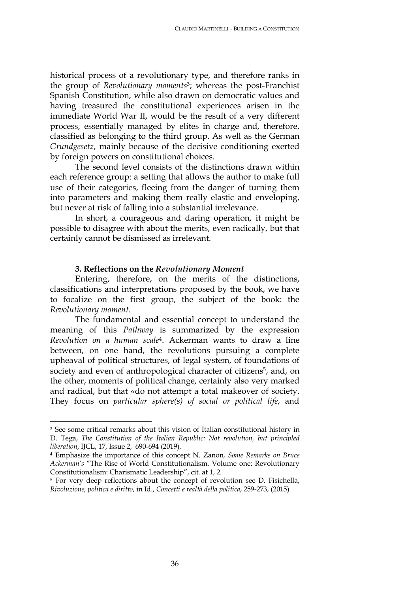historical process of a revolutionary type, and therefore ranks in the group of *Revolutionary moments*3; whereas the post-Franchist Spanish Constitution, while also drawn on democratic values and having treasured the constitutional experiences arisen in the immediate World War II, would be the result of a very different process, essentially managed by elites in charge and, therefore, classified as belonging to the third group. As well as the German *Grundgesetz*, mainly because of the decisive conditioning exerted by foreign powers on constitutional choices.

The second level consists of the distinctions drawn within each reference group: a setting that allows the author to make full use of their categories, fleeing from the danger of turning them into parameters and making them really elastic and enveloping, but never at risk of falling into a substantial irrelevance.

In short, a courageous and daring operation, it might be possible to disagree with about the merits, even radically, but that certainly cannot be dismissed as irrelevant.

#### **3. Reflections on the** *Revolutionary Moment*

Entering, therefore, on the merits of the distinctions, classifications and interpretations proposed by the book, we have to focalize on the first group, the subject of the book: the *Revolutionary moment*.

The fundamental and essential concept to understand the meaning of this *Pathway* is summarized by the expression *Revolution on a human scale*4. Ackerman wants to draw a line between, on one hand, the revolutions pursuing a complete upheaval of political structures, of legal system, of foundations of society and even of anthropological character of citizens<sup>5</sup>, and, on the other, moments of political change, certainly also very marked and radical, but that «do not attempt a total makeover of society. They focus on *particular sphere(s) of social or political life*, and

<sup>&</sup>lt;sup>3</sup> See some critical remarks about this vision of Italian constitutional history in D. Tega, *The Constitution of the Italian Republic: Not revolution, but principled liberation*, IJCL, 17, Issue 2, 690-694 (2019).

<sup>4</sup> Emphasize the importance of this concept N. Zanon, *Some Remarks on Bruce Ackerman's* "The Rise of World Constitutionalism. Volume one: Revolutionary Constitutionalism: Charismatic Leadership", cit. at 1, 2.

<sup>5</sup> For very deep reflections about the concept of revolution see D. Fisichella, *Rivoluzione, politica e diritto*, in Id., *Concetti e realtà della politica*, 259-273, (2015)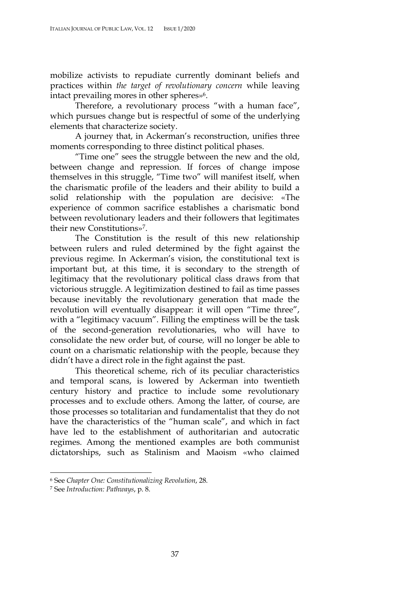mobilize activists to repudiate currently dominant beliefs and practices within *the target of revolutionary concern* while leaving intact prevailing mores in other spheres»<sup>6</sup>.

Therefore, a revolutionary process "with a human face", which pursues change but is respectful of some of the underlying elements that characterize society.

A journey that, in Ackerman's reconstruction, unifies three moments corresponding to three distinct political phases.

"Time one" sees the struggle between the new and the old, between change and repression. If forces of change impose themselves in this struggle, "Time two" will manifest itself, when the charismatic profile of the leaders and their ability to build a solid relationship with the population are decisive: «The experience of common sacrifice establishes a charismatic bond between revolutionary leaders and their followers that legitimates their new Constitutions»7.

The Constitution is the result of this new relationship between rulers and ruled determined by the fight against the previous regime. In Ackerman's vision, the constitutional text is important but, at this time, it is secondary to the strength of legitimacy that the revolutionary political class draws from that victorious struggle. A legitimization destined to fail as time passes because inevitably the revolutionary generation that made the revolution will eventually disappear: it will open "Time three", with a "legitimacy vacuum". Filling the emptiness will be the task of the second-generation revolutionaries, who will have to consolidate the new order but, of course*,* will no longer be able to count on a charismatic relationship with the people, because they didn't have a direct role in the fight against the past.

This theoretical scheme, rich of its peculiar characteristics and temporal scans, is lowered by Ackerman into twentieth century history and practice to include some revolutionary processes and to exclude others. Among the latter, of course, are those processes so totalitarian and fundamentalist that they do not have the characteristics of the "human scale", and which in fact have led to the establishment of authoritarian and autocratic regimes. Among the mentioned examples are both communist dictatorships, such as Stalinism and Maoism «who claimed

 <sup>6</sup> See *Chapter One: Constitutionalizing Revolution*, 28.

<sup>7</sup> See *Introduction: Pathways*, p. 8.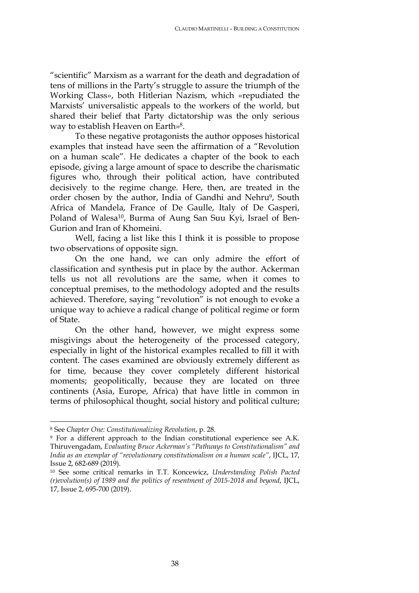"scientific" Marxism as a warrant for the death and degradation of tens of millions in the Party's struggle to assure the triumph of the Working Class», both Hitlerian Nazism, which «repudiated the Marxists' universalistic appeals to the workers of the world, but shared their belief that Party dictatorship was the only serious way to establish Heaven on Earth»8.

To these negative protagonists the author opposes historical examples that instead have seen the affirmation of a "Revolution on a human scale". He dedicates a chapter of the book to each episode, giving a large amount of space to describe the charismatic figures who, through their political action, have contributed decisively to the regime change. Here, then, are treated in the order chosen by the author, India of Gandhi and Nehru<sup>9</sup>, South Africa of Mandela, France of De Gaulle, Italy of De Gasperi, Poland of Walesa<sup>10</sup>, Burma of Aung San Suu Kyi, Israel of Ben-Gurion and Iran of Khomeini.

Well, facing a list like this I think it is possible to propose two observations of opposite sign.

On the one hand, we can only admire the effort of classification and synthesis put in place by the author. Ackerman tells us not all revolutions are the same, when it comes to conceptual premises, to the methodology adopted and the results achieved. Therefore, saying "revolution" is not enough to evoke a unique way to achieve a radical change of political regime or form of State.

On the other hand, however, we might express some misgivings about the heterogeneity of the processed category, especially in light of the historical examples recalled to fill it with content. The cases examined are obviously extremely different as for time, because they cover completely different historical moments; geopolitically, because they are located on three continents (Asia, Europe, Africa) that have little in common in terms of philosophical thought, social history and political culture;

 <sup>8</sup> See *Chapter One: Constitutionalizing Revolution*, p. 28.

<sup>9</sup> For a different approach to the Indian constitutional experience see A.K. Thiruvengadam, *Evaluating Bruce Ackerman's "Pathways to Constitutionalism" and India as an exemplar of "revolutionary constitutionalism on a human scale"*, IJCL, 17, Issue 2, 682-689 (2019).

<sup>10</sup> See some critical remarks in T.T. Koncewicz, *Understanding Polish Pacted (r)evolution(s) of 1989 and the politics of resentment of 2015-2018 and beyond*, IJCL, 17, Issue 2, 695-700 (2019).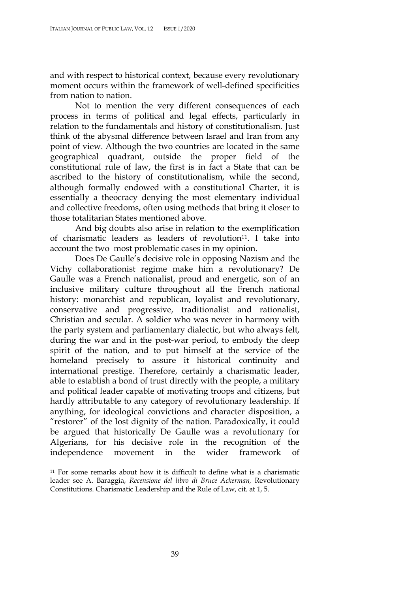and with respect to historical context, because every revolutionary moment occurs within the framework of well-defined specificities from nation to nation.

Not to mention the very different consequences of each process in terms of political and legal effects, particularly in relation to the fundamentals and history of constitutionalism. Just think of the abysmal difference between Israel and Iran from any point of view. Although the two countries are located in the same geographical quadrant, outside the proper field of the constitutional rule of law, the first is in fact a State that can be ascribed to the history of constitutionalism, while the second, although formally endowed with a constitutional Charter, it is essentially a theocracy denying the most elementary individual and collective freedoms, often using methods that bring it closer to those totalitarian States mentioned above.

And big doubts also arise in relation to the exemplification of charismatic leaders as leaders of revolution<sup>11</sup>. I take into account the two most problematic cases in my opinion.

Does De Gaulle's decisive role in opposing Nazism and the Vichy collaborationist regime make him a revolutionary? De Gaulle was a French nationalist, proud and energetic, son of an inclusive military culture throughout all the French national history: monarchist and republican, loyalist and revolutionary, conservative and progressive, traditionalist and rationalist, Christian and secular. A soldier who was never in harmony with the party system and parliamentary dialectic, but who always felt, during the war and in the post-war period, to embody the deep spirit of the nation, and to put himself at the service of the homeland precisely to assure it historical continuity and international prestige. Therefore, certainly a charismatic leader, able to establish a bond of trust directly with the people, a military and political leader capable of motivating troops and citizens, but hardly attributable to any category of revolutionary leadership. If anything, for ideological convictions and character disposition, a "restorer" of the lost dignity of the nation. Paradoxically, it could be argued that historically De Gaulle was a revolutionary for Algerians, for his decisive role in the recognition of the independence movement in the wider framework

 <sup>11</sup> For some remarks about how it is difficult to define what is a charismatic leader see A. Baraggia, *Recensione del libro di Bruce Ackerman,* Revolutionary Constitutions. Charismatic Leadership and the Rule of Law, cit. at 1, 5.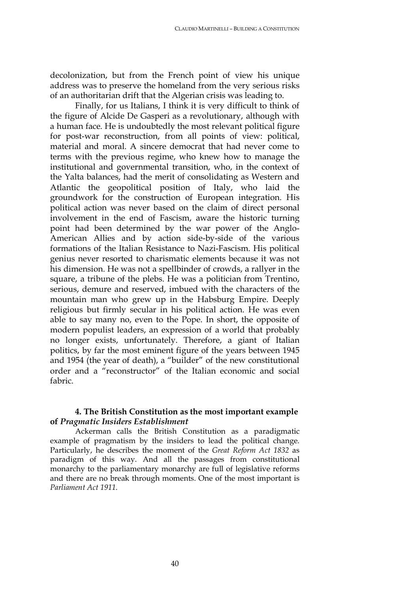decolonization, but from the French point of view his unique address was to preserve the homeland from the very serious risks of an authoritarian drift that the Algerian crisis was leading to.

Finally, for us Italians, I think it is very difficult to think of the figure of Alcide De Gasperi as a revolutionary, although with a human face. He is undoubtedly the most relevant political figure for post-war reconstruction, from all points of view: political, material and moral. A sincere democrat that had never come to terms with the previous regime, who knew how to manage the institutional and governmental transition, who, in the context of the Yalta balances, had the merit of consolidating as Western and Atlantic the geopolitical position of Italy, who laid the groundwork for the construction of European integration. His political action was never based on the claim of direct personal involvement in the end of Fascism, aware the historic turning point had been determined by the war power of the Anglo-American Allies and by action side-by-side of the various formations of the Italian Resistance to Nazi-Fascism. His political genius never resorted to charismatic elements because it was not his dimension. He was not a spellbinder of crowds, a rallyer in the square, a tribune of the plebs. He was a politician from Trentino, serious, demure and reserved, imbued with the characters of the mountain man who grew up in the Habsburg Empire. Deeply religious but firmly secular in his political action. He was even able to say many no, even to the Pope. In short, the opposite of modern populist leaders, an expression of a world that probably no longer exists, unfortunately. Therefore, a giant of Italian politics, by far the most eminent figure of the years between 1945 and 1954 (the year of death), a "builder" of the new constitutional order and a "reconstructor" of the Italian economic and social fabric.

## **4. The British Constitution as the most important example of** *Pragmatic Insiders Establishment*

Ackerman calls the British Constitution as a paradigmatic example of pragmatism by the insiders to lead the political change. Particularly, he describes the moment of the *Great Reform Act 1832* as paradigm of this way. And all the passages from constitutional monarchy to the parliamentary monarchy are full of legislative reforms and there are no break through moments. One of the most important is *Parliament Act 1911*.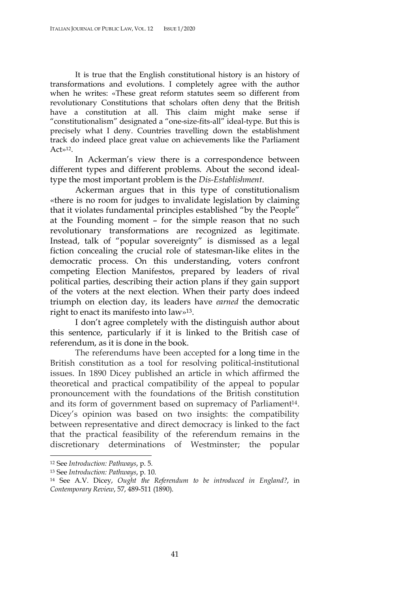It is true that the English constitutional history is an history of transformations and evolutions. I completely agree with the author when he writes: «These great reform statutes seem so different from revolutionary Constitutions that scholars often deny that the British have a constitution at all. This claim might make sense if "constitutionalism" designated a "one-size-fits-all" ideal-type. But this is precisely what I deny. Countries travelling down the establishment track do indeed place great value on achievements like the Parliament Act»12.

In Ackerman's view there is a correspondence between different types and different problems. About the second idealtype the most important problem is the *Dis-Establishment*.

Ackerman argues that in this type of constitutionalism «there is no room for judges to invalidate legislation by claiming that it violates fundamental principles established "by the People" at the Founding moment – for the simple reason that no such revolutionary transformations are recognized as legitimate. Instead, talk of "popular sovereignty" is dismissed as a legal fiction concealing the crucial role of statesman-like elites in the democratic process. On this understanding, voters confront competing Election Manifestos, prepared by leaders of rival political parties, describing their action plans if they gain support of the voters at the next election. When their party does indeed triumph on election day, its leaders have *earned* the democratic right to enact its manifesto into law»13.

I don't agree completely with the distinguish author about this sentence, particularly if it is linked to the British case of referendum, as it is done in the book.

The referendums have been accepted for a long time in the British constitution as a tool for resolving political-institutional issues. In 1890 Dicey published an article in which affirmed the theoretical and practical compatibility of the appeal to popular pronouncement with the foundations of the British constitution and its form of government based on supremacy of Parliament<sup>14</sup>. Dicey's opinion was based on two insights: the compatibility between representative and direct democracy is linked to the fact that the practical feasibility of the referendum remains in the discretionary determinations of Westminster; the popular

 <sup>12</sup> See *Introduction: Pathways*, p. 5.

<sup>13</sup> See *Introduction: Pathways*, p. 10.

<sup>14</sup> See A.V. Dicey, *Ought the Referendum to be introduced in England?*, in *Contemporary Review*, 57, 489-511 (1890).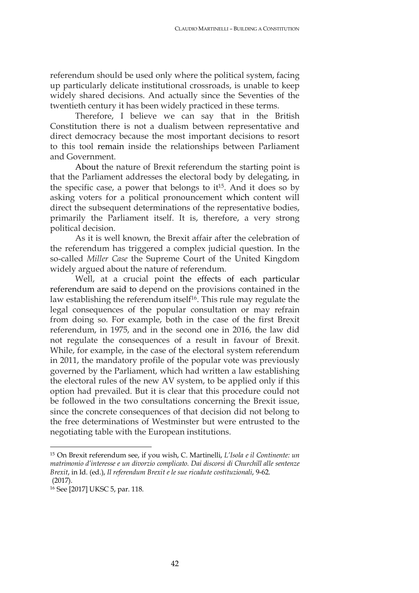referendum should be used only where the political system, facing up particularly delicate institutional crossroads, is unable to keep widely shared decisions. And actually since the Seventies of the twentieth century it has been widely practiced in these terms.

Therefore, I believe we can say that in the British Constitution there is not a dualism between representative and direct democracy because the most important decisions to resort to this tool remain inside the relationships between Parliament and Government.

About the nature of Brexit referendum the starting point is that the Parliament addresses the electoral body by delegating, in the specific case, a power that belongs to  $it^{15}$ . And it does so by asking voters for a political pronouncement which content will direct the subsequent determinations of the representative bodies, primarily the Parliament itself. It is, therefore, a very strong political decision.

As it is well known, the Brexit affair after the celebration of the referendum has triggered a complex judicial question. In the so-called *Miller Case* the Supreme Court of the United Kingdom widely argued about the nature of referendum.

Well, at a crucial point the effects of each particular referendum are said to depend on the provisions contained in the law establishing the referendum itself<sup>16</sup>. This rule may regulate the legal consequences of the popular consultation or may refrain from doing so. For example, both in the case of the first Brexit referendum, in 1975, and in the second one in 2016, the law did not regulate the consequences of a result in favour of Brexit. While, for example, in the case of the electoral system referendum in 2011, the mandatory profile of the popular vote was previously governed by the Parliament, which had written a law establishing the electoral rules of the new AV system, to be applied only if this option had prevailed. But it is clear that this procedure could not be followed in the two consultations concerning the Brexit issue, since the concrete consequences of that decision did not belong to the free determinations of Westminster but were entrusted to the negotiating table with the European institutions.

 <sup>15</sup> On Brexit referendum see, if you wish, C. Martinelli, *L'Isola e il Continente: un matrimonio d'interesse e un divorzio complicato. Dai discorsi di Churchill alle sentenze Brexit*, in Id. (ed.), *Il referendum Brexit e le sue ricadute costituzionali*, 9-62. (2017).

<sup>16</sup> See [2017] UKSC 5, par. 118.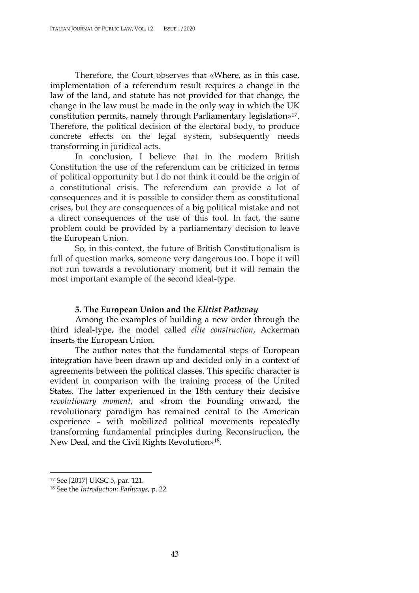Therefore, the Court observes that «Where, as in this case, implementation of a referendum result requires a change in the law of the land, and statute has not provided for that change, the change in the law must be made in the only way in which the UK constitution permits, namely through Parliamentary legislation»17. Therefore, the political decision of the electoral body, to produce concrete effects on the legal system, subsequently needs transforming in juridical acts.

In conclusion, I believe that in the modern British Constitution the use of the referendum can be criticized in terms of political opportunity but I do not think it could be the origin of a constitutional crisis. The referendum can provide a lot of consequences and it is possible to consider them as constitutional crises, but they are consequences of a big political mistake and not a direct consequences of the use of this tool. In fact, the same problem could be provided by a parliamentary decision to leave the European Union.

So, in this context, the future of British Constitutionalism is full of question marks, someone very dangerous too. I hope it will not run towards a revolutionary moment, but it will remain the most important example of the second ideal-type.

#### **5. The European Union and the** *Elitist Pathway*

Among the examples of building a new order through the third ideal-type, the model called *elite construction*, Ackerman inserts the European Union.

The author notes that the fundamental steps of European integration have been drawn up and decided only in a context of agreements between the political classes. This specific character is evident in comparison with the training process of the United States. The latter experienced in the 18th century their decisive *revolutionary moment*, and «from the Founding onward, the revolutionary paradigm has remained central to the American experience – with mobilized political movements repeatedly transforming fundamental principles during Reconstruction, the New Deal, and the Civil Rights Revolution»18.

 <sup>17</sup> See [2017] UKSC 5, par. 121.

<sup>18</sup> See the *Introduction: Pathways*, p. 22.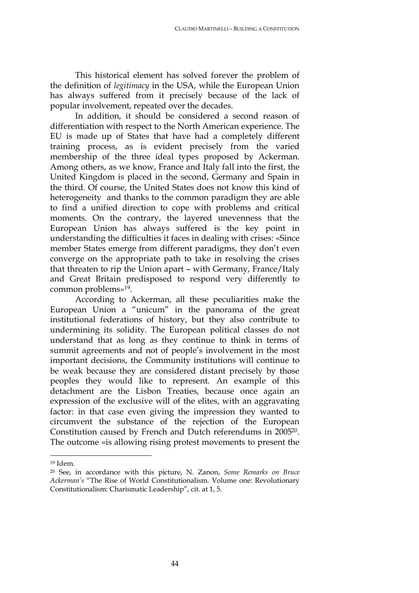This historical element has solved forever the problem of the definition of *legitimacy* in the USA, while the European Union has always suffered from it precisely because of the lack of popular involvement, repeated over the decades.

In addition, it should be considered a second reason of differentiation with respect to the North American experience. The EU is made up of States that have had a completely different training process, as is evident precisely from the varied membership of the three ideal types proposed by Ackerman. Among others, as we know, France and Italy fall into the first, the United Kingdom is placed in the second, Germany and Spain in the third. Of course, the United States does not know this kind of heterogeneity and thanks to the common paradigm they are able to find a unified direction to cope with problems and critical moments. On the contrary, the layered unevenness that the European Union has always suffered is the key point in understanding the difficulties it faces in dealing with crises: «Since member States emerge from different paradigms, they don't even converge on the appropriate path to take in resolving the crises that threaten to rip the Union apart – with Germany, France/Italy and Great Britain predisposed to respond very differently to common problems»19.

According to Ackerman, all these peculiarities make the European Union a "unicum" in the panorama of the great institutional federations of history, but they also contribute to undermining its solidity. The European political classes do not understand that as long as they continue to think in terms of summit agreements and not of people's involvement in the most important decisions, the Community institutions will continue to be weak because they are considered distant precisely by those peoples they would like to represent. An example of this detachment are the Lisbon Treaties, because once again an expression of the exclusive will of the elites, with an aggravating factor: in that case even giving the impression they wanted to circumvent the substance of the rejection of the European Constitution caused by French and Dutch referendums in 200520. The outcome «is allowing rising protest movements to present the

 <sup>19</sup> Idem.

<sup>20</sup> See, in accordance with this picture, N. Zanon, *Some Remarks on Bruce Ackerman's* "The Rise of World Constitutionalism. Volume one: Revolutionary Constitutionalism: Charismatic Leadership", cit. at 1, 5.